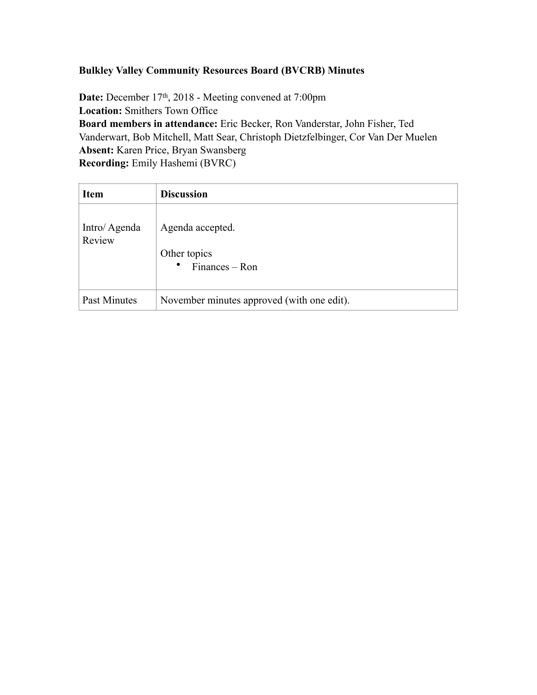## **Bulkley Valley Community Resources Board (BVCRB) Minutes**

**Date:** December 17th, 2018 - Meeting convened at 7:00pm **Location:** Smithers Town Office **Board members in attendance:** Eric Becker, Ron Vanderstar, John Fisher, Ted Vanderwart, Bob Mitchell, Matt Sear, Christoph Dietzfelbinger, Cor Van Der Muelen **Absent:** Karen Price, Bryan Swansberg **Recording:** Emily Hashemi (BVRC)

| <b>Item</b>            | <b>Discussion</b>                                               |
|------------------------|-----------------------------------------------------------------|
| Intro/Agenda<br>Review | Agenda accepted.<br>Other topics<br>$\bullet$<br>Finances – Ron |
| Past Minutes           | November minutes approved (with one edit).                      |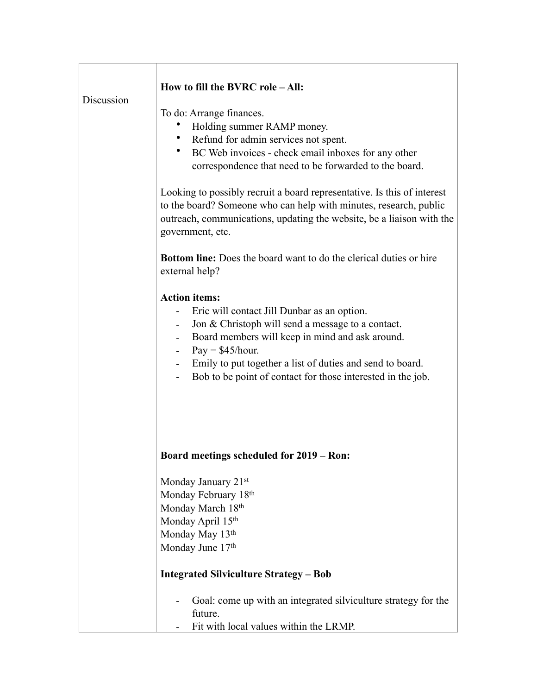| Discussion | How to fill the BVRC role - All:<br>To do: Arrange finances.<br>Holding summer RAMP money.<br>Refund for admin services not spent.<br>$\bullet$<br>BC Web invoices - check email inboxes for any other<br>$\bullet$<br>correspondence that need to be forwarded to the board.<br>Looking to possibly recruit a board representative. Is this of interest<br>to the board? Someone who can help with minutes, research, public<br>outreach, communications, updating the website, be a liaison with the |
|------------|--------------------------------------------------------------------------------------------------------------------------------------------------------------------------------------------------------------------------------------------------------------------------------------------------------------------------------------------------------------------------------------------------------------------------------------------------------------------------------------------------------|
|            | government, etc.<br><b>Bottom line:</b> Does the board want to do the clerical duties or hire<br>external help?                                                                                                                                                                                                                                                                                                                                                                                        |
|            | <b>Action items:</b><br>Eric will contact Jill Dunbar as an option.<br>Jon & Christoph will send a message to a contact.<br>Board members will keep in mind and ask around.<br>$\overline{\phantom{0}}$<br>$Pay = $45/hour.$<br>Emily to put together a list of duties and send to board.<br>Bob to be point of contact for those interested in the job.                                                                                                                                               |
|            | Board meetings scheduled for 2019 – Ron:                                                                                                                                                                                                                                                                                                                                                                                                                                                               |
|            | Monday January 21 <sup>st</sup><br>Monday February 18th<br>Monday March 18th<br>Monday April 15th<br>Monday May 13th<br>Monday June 17th                                                                                                                                                                                                                                                                                                                                                               |
|            | <b>Integrated Silviculture Strategy - Bob</b>                                                                                                                                                                                                                                                                                                                                                                                                                                                          |
|            | Goal: come up with an integrated silviculture strategy for the<br>future.<br>Fit with local values within the LRMP.                                                                                                                                                                                                                                                                                                                                                                                    |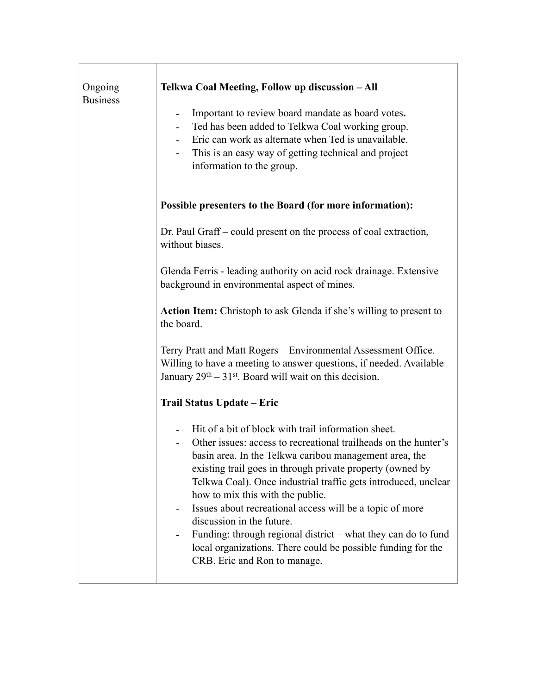| Ongoing<br><b>Business</b> | Telkwa Coal Meeting, Follow up discussion - All<br>Important to review board mandate as board votes.<br>$\overline{\phantom{a}}$<br>Ted has been added to Telkwa Coal working group.<br>Eric can work as alternate when Ted is unavailable.<br>$\overline{\phantom{0}}$<br>This is an easy way of getting technical and project<br>information to the group.                                                                                                                                                                                                                                                                              |
|----------------------------|-------------------------------------------------------------------------------------------------------------------------------------------------------------------------------------------------------------------------------------------------------------------------------------------------------------------------------------------------------------------------------------------------------------------------------------------------------------------------------------------------------------------------------------------------------------------------------------------------------------------------------------------|
|                            | Possible presenters to the Board (for more information):                                                                                                                                                                                                                                                                                                                                                                                                                                                                                                                                                                                  |
|                            | Dr. Paul Graff – could present on the process of coal extraction,<br>without biases.                                                                                                                                                                                                                                                                                                                                                                                                                                                                                                                                                      |
|                            | Glenda Ferris - leading authority on acid rock drainage. Extensive<br>background in environmental aspect of mines.                                                                                                                                                                                                                                                                                                                                                                                                                                                                                                                        |
|                            | Action Item: Christoph to ask Glenda if she's willing to present to<br>the board.                                                                                                                                                                                                                                                                                                                                                                                                                                                                                                                                                         |
|                            | Terry Pratt and Matt Rogers - Environmental Assessment Office.<br>Willing to have a meeting to answer questions, if needed. Available<br>January $29th - 31st$ . Board will wait on this decision.                                                                                                                                                                                                                                                                                                                                                                                                                                        |
|                            | Trail Status Update – Eric                                                                                                                                                                                                                                                                                                                                                                                                                                                                                                                                                                                                                |
|                            | Hit of a bit of block with trail information sheet.<br>$\overline{\phantom{0}}$<br>Other issues: access to recreational trailheads on the hunter's<br>basin area. In the Telkwa caribou management area, the<br>existing trail goes in through private property (owned by<br>Telkwa Coal). Once industrial traffic gets introduced, unclear<br>how to mix this with the public.<br>Issues about recreational access will be a topic of more<br>discussion in the future.<br>Funding: through regional district – what they can do to fund<br>local organizations. There could be possible funding for the<br>CRB. Eric and Ron to manage. |